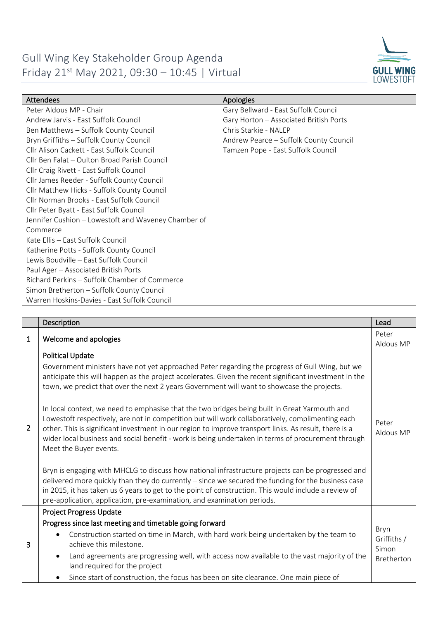

| <b>Attendees</b>                                    | Apologies                              |
|-----------------------------------------------------|----------------------------------------|
| Peter Aldous MP - Chair                             | Gary Bellward - East Suffolk Council   |
| Andrew Jarvis - East Suffolk Council                | Gary Horton - Associated British Ports |
| Ben Matthews - Suffolk County Council               | Chris Starkie - NALEP                  |
| Bryn Griffiths - Suffolk County Council             | Andrew Pearce - Suffolk County Council |
| Cllr Alison Cackett - East Suffolk Council          | Tamzen Pope - East Suffolk Council     |
| Cllr Ben Falat – Oulton Broad Parish Council        |                                        |
| Cllr Craig Rivett - East Suffolk Council            |                                        |
| Cllr James Reeder - Suffolk County Council          |                                        |
| Cllr Matthew Hicks - Suffolk County Council         |                                        |
| Cllr Norman Brooks - East Suffolk Council           |                                        |
| Cllr Peter Byatt - East Suffolk Council             |                                        |
| Jennifer Cushion - Lowestoft and Waveney Chamber of |                                        |
| Commerce                                            |                                        |
| Kate Ellis - East Suffolk Council                   |                                        |
| Katherine Potts - Suffolk County Council            |                                        |
| Lewis Boudville - East Suffolk Council              |                                        |
| Paul Ager - Associated British Ports                |                                        |
| Richard Perkins - Suffolk Chamber of Commerce       |                                        |
| Simon Bretherton - Suffolk County Council           |                                        |
| Warren Hoskins-Davies - East Suffolk Council        |                                        |

|                | Description                                                                                                                                                                                                                                                                                                                                                                                                                                                                                                                                                                                                                                                                                                                                                                                                                                                                                                                                                                                                                                                                                                                                                                   | Lead                                              |
|----------------|-------------------------------------------------------------------------------------------------------------------------------------------------------------------------------------------------------------------------------------------------------------------------------------------------------------------------------------------------------------------------------------------------------------------------------------------------------------------------------------------------------------------------------------------------------------------------------------------------------------------------------------------------------------------------------------------------------------------------------------------------------------------------------------------------------------------------------------------------------------------------------------------------------------------------------------------------------------------------------------------------------------------------------------------------------------------------------------------------------------------------------------------------------------------------------|---------------------------------------------------|
| $\mathbf{1}$   | Welcome and apologies                                                                                                                                                                                                                                                                                                                                                                                                                                                                                                                                                                                                                                                                                                                                                                                                                                                                                                                                                                                                                                                                                                                                                         | Peter                                             |
|                |                                                                                                                                                                                                                                                                                                                                                                                                                                                                                                                                                                                                                                                                                                                                                                                                                                                                                                                                                                                                                                                                                                                                                                               | Aldous MP                                         |
| $\overline{2}$ | <b>Political Update</b><br>Government ministers have not yet approached Peter regarding the progress of Gull Wing, but we<br>anticipate this will happen as the project accelerates. Given the recent significant investment in the<br>town, we predict that over the next 2 years Government will want to showcase the projects.<br>In local context, we need to emphasise that the two bridges being built in Great Yarmouth and<br>Lowestoft respectively, are not in competition but will work collaboratively, complimenting each<br>other. This is significant investment in our region to improve transport links. As result, there is a<br>wider local business and social benefit - work is being undertaken in terms of procurement through<br>Meet the Buyer events.<br>Bryn is engaging with MHCLG to discuss how national infrastructure projects can be progressed and<br>delivered more quickly than they do currently - since we secured the funding for the business case<br>in 2015, it has taken us 6 years to get to the point of construction. This would include a review of<br>pre-application, application, pre-examination, and examination periods. | Peter<br>Aldous MP                                |
|                | <b>Project Progress Update</b>                                                                                                                                                                                                                                                                                                                                                                                                                                                                                                                                                                                                                                                                                                                                                                                                                                                                                                                                                                                                                                                                                                                                                |                                                   |
| 3              | Progress since last meeting and timetable going forward<br>Construction started on time in March, with hard work being undertaken by the team to<br>$\bullet$<br>achieve this milestone.<br>Land agreements are progressing well, with access now available to the vast majority of the<br>$\bullet$<br>land required for the project                                                                                                                                                                                                                                                                                                                                                                                                                                                                                                                                                                                                                                                                                                                                                                                                                                         | Bryn<br>Griffiths /<br>Simon<br><b>Bretherton</b> |
|                | Since start of construction, the focus has been on site clearance. One main piece of<br>٠                                                                                                                                                                                                                                                                                                                                                                                                                                                                                                                                                                                                                                                                                                                                                                                                                                                                                                                                                                                                                                                                                     |                                                   |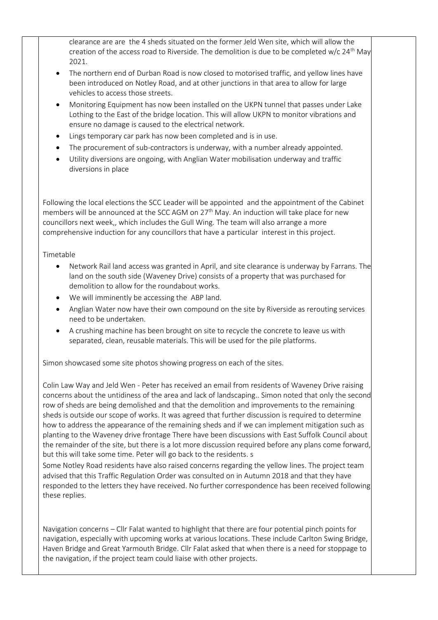clearance are are the 4 sheds situated on the former Jeld Wen site, which will allow the creation of the access road to Riverside. The demolition is due to be completed w/c  $24<sup>th</sup>$  May 2021.

- The northern end of Durban Road is now closed to motorised traffic, and yellow lines have been introduced on Notley Road, and at other junctions in that area to allow for large vehicles to access those streets.
- Monitoring Equipment has now been installed on the UKPN tunnel that passes under Lake Lothing to the East of the bridge location. This will allow UKPN to monitor vibrations and ensure no damage is caused to the electrical network.
- Lings temporary car park has now been completed and is in use.
- The procurement of sub-contractors is underway, with a number already appointed.
- Utility diversions are ongoing, with Anglian Water mobilisation underway and traffic diversions in place

Following the local elections the SCC Leader will be appointed and the appointment of the Cabinet members will be announced at the SCC AGM on 27<sup>th</sup> May. An induction will take place for new councillors next week,, which includes the Gull Wing. The team will also arrange a more comprehensive induction for any councillors that have a particular interest in this project.

## Timetable

- Network Rail land access was granted in April, and site clearance is underway by Farrans. The land on the south side (Waveney Drive) consists of a property that was purchased for demolition to allow for the roundabout works.
- We will imminently be accessing the ABP land.
- Anglian Water now have their own compound on the site by Riverside as rerouting services need to be undertaken.
- A crushing machine has been brought on site to recycle the concrete to leave us with separated, clean, reusable materials. This will be used for the pile platforms.

Simon showcased some site photos showing progress on each of the sites.

Colin Law Way and Jeld Wen - Peter has received an email from residents of Waveney Drive raising concerns about the untidiness of the area and lack of landscaping.. Simon noted that only the second row of sheds are being demolished and that the demolition and improvements to the remaining sheds is outside our scope of works. It was agreed that further discussion is required to determine how to address the appearance of the remaining sheds and if we can implement mitigation such as planting to the Waveney drive frontage There have been discussions with East Suffolk Council about the remainder of the site, but there is a lot more discussion required before any plans come forward, but this will take some time. Peter will go back to the residents. s

Some Notley Road residents have also raised concerns regarding the yellow lines. The project team advised that this Traffic Regulation Order was consulted on in Autumn 2018 and that they have responded to the letters they have received. No further correspondence has been received following these replies.

Navigation concerns – Cllr Falat wanted to highlight that there are four potential pinch points for navigation, especially with upcoming works at various locations. These include Carlton Swing Bridge, Haven Bridge and Great Yarmouth Bridge. Cllr Falat asked that when there is a need for stoppage to the navigation, if the project team could liaise with other projects.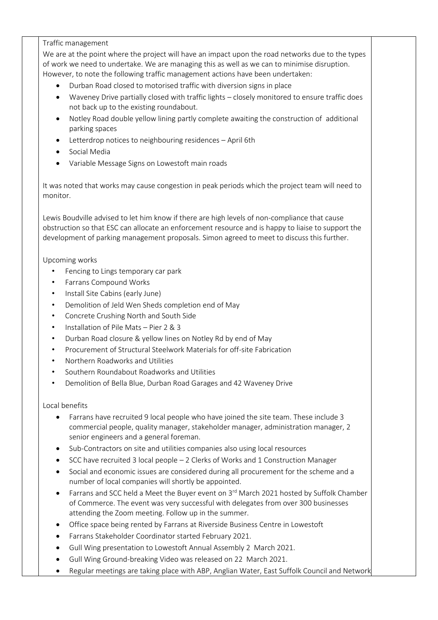## Traffic management

We are at the point where the project will have an impact upon the road networks due to the types of work we need to undertake. We are managing this as well as we can to minimise disruption. However, to note the following traffic management actions have been undertaken:

- Durban Road closed to motorised traffic with diversion signs in place
- Waveney Drive partially closed with traffic lights closely monitored to ensure traffic does not back up to the existing roundabout.
- Notley Road double yellow lining partly complete awaiting the construction of additional parking spaces
- Letterdrop notices to neighbouring residences April 6th
- Social Media
- Variable Message Signs on Lowestoft main roads

It was noted that works may cause congestion in peak periods which the project team will need to monitor.

Lewis Boudville advised to let him know if there are high levels of non-compliance that cause obstruction so that ESC can allocate an enforcement resource and is happy to liaise to support the development of parking management proposals. Simon agreed to meet to discuss this further.

Upcoming works

- Fencing to Lings temporary car park
- Farrans Compound Works
- Install Site Cabins (early June)
- Demolition of Jeld Wen Sheds completion end of May
- Concrete Crushing North and South Side
- Installation of Pile Mats Pier 2 & 3
- Durban Road closure & yellow lines on Notley Rd by end of May
- Procurement of Structural Steelwork Materials for off-site Fabrication
- Northern Roadworks and Utilities
- Southern Roundabout Roadworks and Utilities
- Demolition of Bella Blue, Durban Road Garages and 42 Waveney Drive

Local benefits

- Farrans have recruited 9 local people who have joined the site team. These include 3 commercial people, quality manager, stakeholder manager, administration manager, 2 senior engineers and a general foreman.
- Sub-Contractors on site and utilities companies also using local resources
- SCC have recruited 3 local people 2 Clerks of Works and 1 Construction Manager
- Social and economic issues are considered during all procurement for the scheme and a number of local companies will shortly be appointed.
- Farrans and SCC held a Meet the Buyer event on 3<sup>rd</sup> March 2021 hosted by Suffolk Chamber of Commerce. The event was very successful with delegates from over 300 businesses attending the Zoom meeting. Follow up in the summer.
- Office space being rented by Farrans at Riverside Business Centre in Lowestoft
- Farrans Stakeholder Coordinator started February 2021.
- Gull Wing presentation to Lowestoft Annual Assembly 2 March 2021.
- Gull Wing Ground-breaking Video was released on 22 March 2021.
- Regular meetings are taking place with ABP, Anglian Water, East Suffolk Council and Network